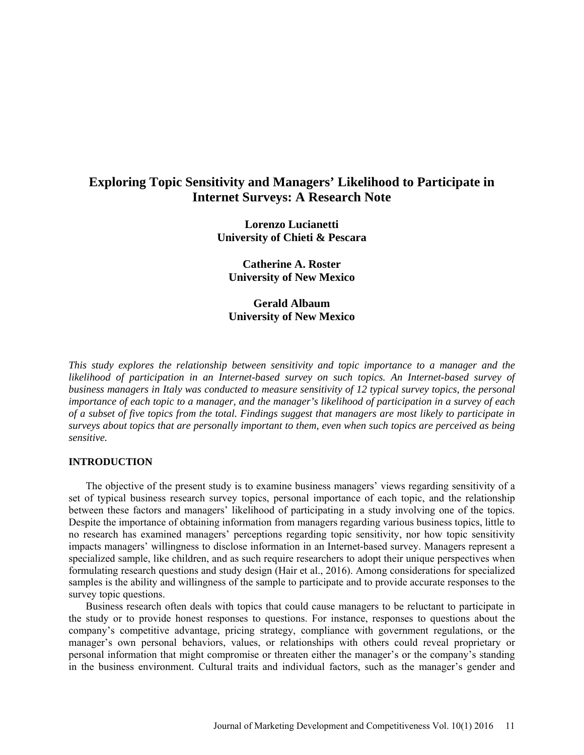# **Exploring Topic Sensitivity and Managers' Likelihood to Participate in Internet Surveys: A Research Note**

**Lorenzo Lucianetti University of Chieti & Pescara**

**Catherine A. Roster University of New Mexico**

**Gerald Albaum University of New Mexico**

*This study explores the relationship between sensitivity and topic importance to a manager and the likelihood of participation in an Internet-based survey on such topics. An Internet-based survey of business managers in Italy was conducted to measure sensitivity of 12 typical survey topics, the personal importance of each topic to a manager, and the manager's likelihood of participation in a survey of each of a subset of five topics from the total. Findings suggest that managers are most likely to participate in surveys about topics that are personally important to them, even when such topics are perceived as being sensitive.*

### **INTRODUCTION**

The objective of the present study is to examine business managers' views regarding sensitivity of a set of typical business research survey topics, personal importance of each topic, and the relationship between these factors and managers' likelihood of participating in a study involving one of the topics. Despite the importance of obtaining information from managers regarding various business topics, little to no research has examined managers' perceptions regarding topic sensitivity, nor how topic sensitivity impacts managers' willingness to disclose information in an Internet-based survey. Managers represent a specialized sample, like children, and as such require researchers to adopt their unique perspectives when formulating research questions and study design (Hair et al., 2016). Among considerations for specialized samples is the ability and willingness of the sample to participate and to provide accurate responses to the survey topic questions.

Business research often deals with topics that could cause managers to be reluctant to participate in the study or to provide honest responses to questions. For instance, responses to questions about the company's competitive advantage, pricing strategy, compliance with government regulations, or the manager's own personal behaviors, values, or relationships with others could reveal proprietary or personal information that might compromise or threaten either the manager's or the company's standing in the business environment. Cultural traits and individual factors, such as the manager's gender and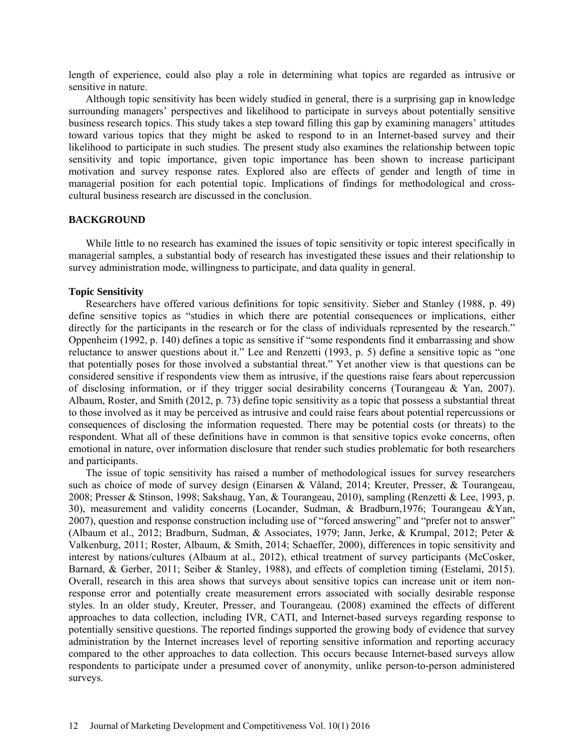length of experience, could also play a role in determining what topics are regarded as intrusive or sensitive in nature.

Although topic sensitivity has been widely studied in general, there is a surprising gap in knowledge surrounding managers' perspectives and likelihood to participate in surveys about potentially sensitive business research topics. This study takes a step toward filling this gap by examining managers' attitudes toward various topics that they might be asked to respond to in an Internet-based survey and their likelihood to participate in such studies. The present study also examines the relationship between topic sensitivity and topic importance, given topic importance has been shown to increase participant motivation and survey response rates. Explored also are effects of gender and length of time in managerial position for each potential topic. Implications of findings for methodological and crosscultural business research are discussed in the conclusion.

## **BACKGROUND**

While little to no research has examined the issues of topic sensitivity or topic interest specifically in managerial samples, a substantial body of research has investigated these issues and their relationship to survey administration mode, willingness to participate, and data quality in general.

#### **Topic Sensitivity**

Researchers have offered various definitions for topic sensitivity. Sieber and Stanley (1988, p. 49) define sensitive topics as "studies in which there are potential consequences or implications, either directly for the participants in the research or for the class of individuals represented by the research." Oppenheim (1992, p. 140) defines a topic as sensitive if "some respondents find it embarrassing and show reluctance to answer questions about it." Lee and Renzetti (1993, p. 5) define a sensitive topic as "one that potentially poses for those involved a substantial threat." Yet another view is that questions can be considered sensitive if respondents view them as intrusive, if the questions raise fears about repercussion of disclosing information, or if they trigger social desirability concerns (Tourangeau  $& Yan, 2007$ ). Albaum, Roster, and Smith (2012, p. 73) define topic sensitivity as a topic that possess a substantial threat to those involved as it may be perceived as intrusive and could raise fears about potential repercussions or consequences of disclosing the information requested. There may be potential costs (or threats) to the respondent. What all of these definitions have in common is that sensitive topics evoke concerns, often emotional in nature, over information disclosure that render such studies problematic for both researchers and participants.

The issue of topic sensitivity has raised a number of methodological issues for survey researchers such as choice of mode of survey design (Einarsen & Våland, 2014; Kreuter, Presser, & Tourangeau*,* 2008; Presser & Stinson, 1998; Sakshaug, Yan, & Tourangeau, 2010), sampling (Renzetti & Lee, 1993, p. 30), measurement and validity concerns (Locander, Sudman, & Bradburn,1976; Tourangeau &Yan, 2007), question and response construction including use of "forced answering" and "prefer not to answer" (Albaum et al., 2012; Bradburn, Sudman, & Associates, 1979; Jann, Jerke, & Krumpal, 2012; Peter & Valkenburg, 2011; Roster, Albaum, & Smith, 2014; Schaeffer, 2000), differences in topic sensitivity and interest by nations/cultures (Albaum at al., 2012), ethical treatment of survey participants (McCosker, Barnard, & Gerber, 2011; Seiber & Stanley, 1988), and effects of completion timing (Estelami, 2015). Overall, research in this area shows that surveys about sensitive topics can increase unit or item nonresponse error and potentially create measurement errors associated with socially desirable response styles. In an older study, Kreuter, Presser, and Tourangeau*.* (2008) examined the effects of different approaches to data collection, including IVR, CATI, and Internet-based surveys regarding response to potentially sensitive questions. The reported findings supported the growing body of evidence that survey administration by the Internet increases level of reporting sensitive information and reporting accuracy compared to the other approaches to data collection. This occurs because Internet-based surveys allow respondents to participate under a presumed cover of anonymity, unlike person-to-person administered surveys.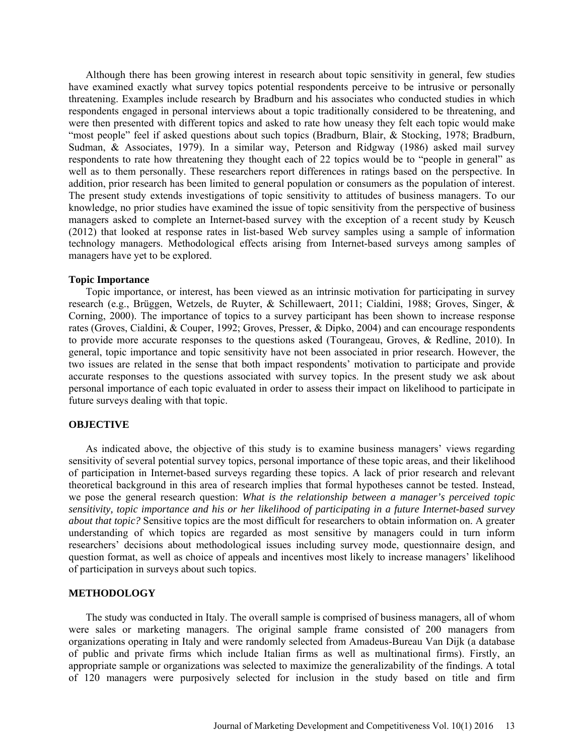Although there has been growing interest in research about topic sensitivity in general, few studies have examined exactly what survey topics potential respondents perceive to be intrusive or personally threatening. Examples include research by Bradburn and his associates who conducted studies in which respondents engaged in personal interviews about a topic traditionally considered to be threatening, and were then presented with different topics and asked to rate how uneasy they felt each topic would make "most people" feel if asked questions about such topics (Bradburn*,* Blair, & Stocking, 1978; Bradburn, Sudman, & Associates, 1979). In a similar way, Peterson and Ridgway (1986) asked mail survey respondents to rate how threatening they thought each of 22 topics would be to "people in general" as well as to them personally. These researchers report differences in ratings based on the perspective. In addition, prior research has been limited to general population or consumers as the population of interest. The present study extends investigations of topic sensitivity to attitudes of business managers. To our knowledge, no prior studies have examined the issue of topic sensitivity from the perspective of business managers asked to complete an Internet-based survey with the exception of a recent study by Keusch (2012) that looked at response rates in list-based Web survey samples using a sample of information technology managers. Methodological effects arising from Internet-based surveys among samples of managers have yet to be explored.

#### **Topic Importance**

Topic importance, or interest, has been viewed as an intrinsic motivation for participating in survey research (e.g., Brüggen, Wetzels, de Ruyter, & Schillewaert, 2011; Cialdini, 1988; Groves, Singer, & Corning, 2000). The importance of topics to a survey participant has been shown to increase response rates (Groves, Cialdini, & Couper, 1992; Groves, Presser, & Dipko, 2004) and can encourage respondents to provide more accurate responses to the questions asked (Tourangeau, Groves, & Redline, 2010). In general, topic importance and topic sensitivity have not been associated in prior research. However, the two issues are related in the sense that both impact respondents' motivation to participate and provide accurate responses to the questions associated with survey topics. In the present study we ask about personal importance of each topic evaluated in order to assess their impact on likelihood to participate in future surveys dealing with that topic.

#### **OBJECTIVE**

As indicated above, the objective of this study is to examine business managers' views regarding sensitivity of several potential survey topics, personal importance of these topic areas, and their likelihood of participation in Internet-based surveys regarding these topics. A lack of prior research and relevant theoretical background in this area of research implies that formal hypotheses cannot be tested. Instead, we pose the general research question: *What is the relationship between a manager's perceived topic sensitivity, topic importance and his or her likelihood of participating in a future Internet-based survey about that topic?* Sensitive topics are the most difficult for researchers to obtain information on. A greater understanding of which topics are regarded as most sensitive by managers could in turn inform researchers' decisions about methodological issues including survey mode, questionnaire design, and question format, as well as choice of appeals and incentives most likely to increase managers' likelihood of participation in surveys about such topics.

#### **METHODOLOGY**

The study was conducted in Italy. The overall sample is comprised of business managers, all of whom were sales or marketing managers. The original sample frame consisted of 200 managers from organizations operating in Italy and were randomly selected from Amadeus-Bureau Van Dijk (a database of public and private firms which include Italian firms as well as multinational firms). Firstly, an appropriate sample or organizations was selected to maximize the generalizability of the findings. A total of 120 managers were purposively selected for inclusion in the study based on title and firm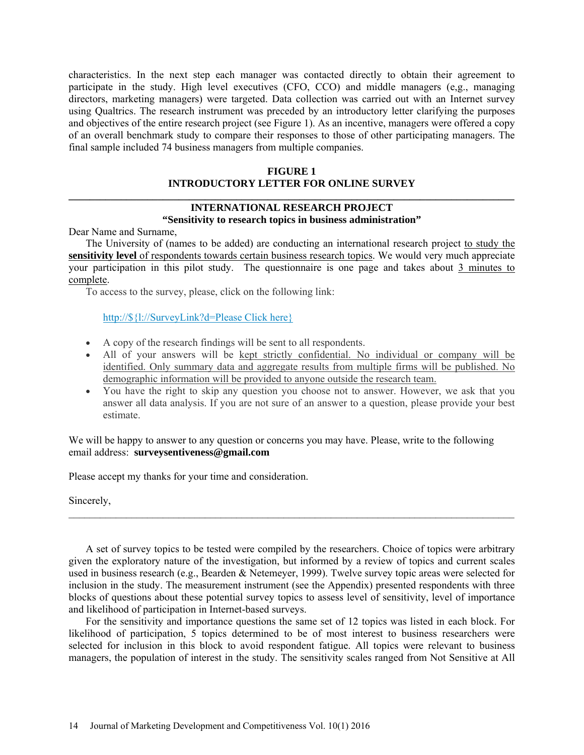characteristics. In the next step each manager was contacted directly to obtain their agreement to participate in the study. High level executives (CFO, CCO) and middle managers (e,g., managing directors, marketing managers) were targeted. Data collection was carried out with an Internet survey using Qualtrics. The research instrument was preceded by an introductory letter clarifying the purposes and objectives of the entire research project (see Figure 1). As an incentive, managers were offered a copy of an overall benchmark study to compare their responses to those of other participating managers. The final sample included 74 business managers from multiple companies.

## **FIGURE 1 INTRODUCTORY LETTER FOR ONLINE SURVEY \_\_\_\_\_\_\_\_\_\_\_\_\_\_\_\_\_\_\_\_\_\_\_\_\_\_\_\_\_\_\_\_\_\_\_\_\_\_\_\_\_\_\_\_\_\_\_\_\_\_\_\_\_\_\_\_\_\_\_\_\_\_\_\_\_\_\_\_\_\_\_\_\_\_\_\_\_\_\_\_\_\_\_\_\_**

## **INTERNATIONAL RESEARCH PROJECT "Sensitivity to research topics in business administration"**

Dear Name and Surname,

The University of (names to be added) are conducting an international research project to study the **sensitivity level** of respondents towards certain business research topics. We would very much appreciate your participation in this pilot study. The questionnaire is one page and takes about 3 minutes to complete.

To access to the survey, please, click on the following link:

http://\${l://SurveyLink?d=Please Click here}

- A copy of the research findings will be sent to all respondents.
- All of your answers will be kept strictly confidential. No individual or company will be identified. Only summary data and aggregate results from multiple firms will be published. No demographic information will be provided to anyone outside the research team.
- You have the right to skip any question you choose not to answer. However, we ask that you answer all data analysis. If you are not sure of an answer to a question, please provide your best estimate.

We will be happy to answer to any question or concerns you may have. Please, write to the following email address: **[surveysentiveness@gmail.com](mailto:surveysentiveness@gmail.com)**

Please accept my thanks for your time and consideration.

Sincerely,

A set of survey topics to be tested were compiled by the researchers. Choice of topics were arbitrary given the exploratory nature of the investigation, but informed by a review of topics and current scales used in business research (e.g., Bearden & Netemeyer, 1999). Twelve survey topic areas were selected for inclusion in the study. The measurement instrument (see the Appendix) presented respondents with three blocks of questions about these potential survey topics to assess level of sensitivity, level of importance and likelihood of participation in Internet-based surveys.

\_\_\_\_\_\_\_\_\_\_\_\_\_\_\_\_\_\_\_\_\_\_\_\_\_\_\_\_\_\_\_\_\_\_\_\_\_\_\_\_\_\_\_\_\_\_\_\_\_\_\_\_\_\_\_\_\_\_\_\_\_\_\_\_\_\_\_\_\_\_\_\_\_\_\_\_\_\_\_\_\_\_\_\_\_

For the sensitivity and importance questions the same set of 12 topics was listed in each block. For likelihood of participation, 5 topics determined to be of most interest to business researchers were selected for inclusion in this block to avoid respondent fatigue. All topics were relevant to business managers, the population of interest in the study. The sensitivity scales ranged from Not Sensitive at All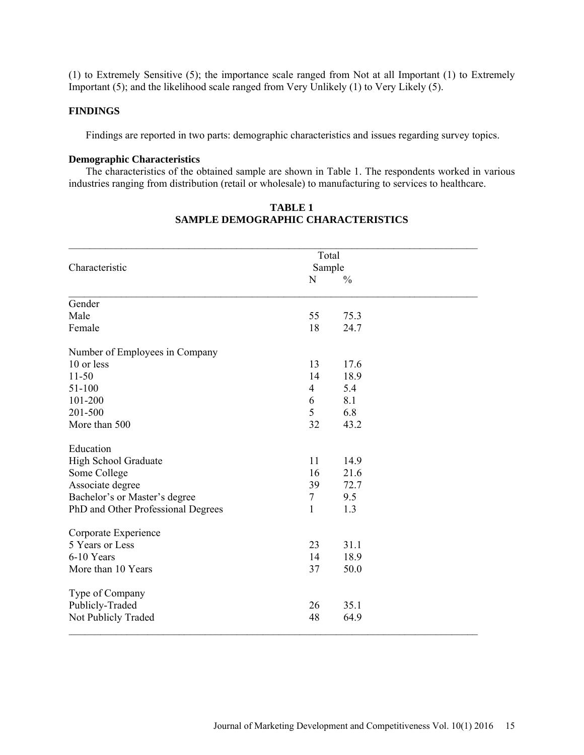(1) to Extremely Sensitive (5); the importance scale ranged from Not at all Important (1) to Extremely Important (5); and the likelihood scale ranged from Very Unlikely (1) to Very Likely (5).

### **FINDINGS**

Findings are reported in two parts: demographic characteristics and issues regarding survey topics.

#### **Demographic Characteristics**

The characteristics of the obtained sample are shown in Table 1. The respondents worked in various industries ranging from distribution (retail or wholesale) to manufacturing to services to healthcare.

|                                    | Total          |               |  |
|------------------------------------|----------------|---------------|--|
| Characteristic                     | Sample         |               |  |
|                                    | N              | $\frac{0}{0}$ |  |
| Gender                             |                |               |  |
| Male                               | 55             | 75.3          |  |
| Female                             | 18             | 24.7          |  |
| Number of Employees in Company     |                |               |  |
| 10 or less                         | 13             | 17.6          |  |
| $11 - 50$                          | 14             | 18.9          |  |
| $51 - 100$                         | $\overline{4}$ | 5.4           |  |
| 101-200                            | 6              | 8.1           |  |
| 201-500                            | 5              | 6.8           |  |
| More than 500                      | 32             | 43.2          |  |
| Education                          |                |               |  |
| High School Graduate               | 11             | 14.9          |  |
| Some College                       | 16             | 21.6          |  |
| Associate degree                   | 39             | 72.7          |  |
| Bachelor's or Master's degree      | $\tau$         | 9.5           |  |
| PhD and Other Professional Degrees | 1              | 1.3           |  |
| Corporate Experience               |                |               |  |
| 5 Years or Less                    | 23             | 31.1          |  |
| 6-10 Years                         | 14             | 18.9          |  |
| More than 10 Years                 | 37             | 50.0          |  |
| Type of Company                    |                |               |  |
| Publicly-Traded                    | 26             | 35.1          |  |
| Not Publicly Traded                | 48             | 64.9          |  |

## **TABLE 1 SAMPLE DEMOGRAPHIC CHARACTERISTICS**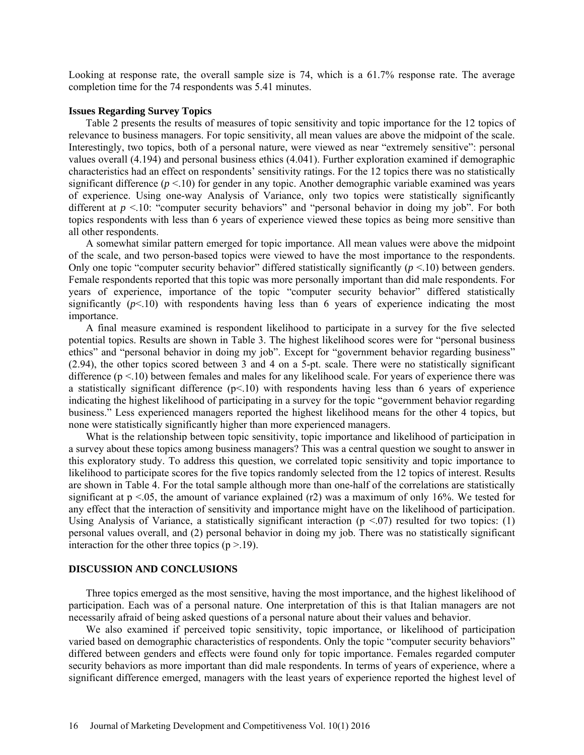Looking at response rate, the overall sample size is 74, which is a 61.7% response rate. The average completion time for the 74 respondents was 5.41 minutes.

#### **Issues Regarding Survey Topics**

Table 2 presents the results of measures of topic sensitivity and topic importance for the 12 topics of relevance to business managers. For topic sensitivity, all mean values are above the midpoint of the scale. Interestingly, two topics, both of a personal nature, were viewed as near "extremely sensitive": personal values overall (4.194) and personal business ethics (4.041). Further exploration examined if demographic characteristics had an effect on respondents' sensitivity ratings. For the 12 topics there was no statistically significant difference  $(p < 10)$  for gender in any topic. Another demographic variable examined was years of experience. Using one-way Analysis of Variance, only two topics were statistically significantly different at  $p < 10$ : "computer security behaviors" and "personal behavior in doing my job". For both topics respondents with less than 6 years of experience viewed these topics as being more sensitive than all other respondents.

A somewhat similar pattern emerged for topic importance. All mean values were above the midpoint of the scale, and two person-based topics were viewed to have the most importance to the respondents. Only one topic "computer security behavior" differed statistically significantly  $(p \le 10)$  between genders. Female respondents reported that this topic was more personally important than did male respondents. For years of experience, importance of the topic "computer security behavior" differed statistically significantly  $(p<10)$  with respondents having less than 6 years of experience indicating the most importance.

A final measure examined is respondent likelihood to participate in a survey for the five selected potential topics. Results are shown in Table 3. The highest likelihood scores were for "personal business ethics" and "personal behavior in doing my job". Except for "government behavior regarding business" (2.94), the other topics scored between 3 and 4 on a 5-pt. scale. There were no statistically significant difference  $(p < 10)$  between females and males for any likelihood scale. For years of experience there was a statistically significant difference  $(p<10)$  with respondents having less than 6 years of experience indicating the highest likelihood of participating in a survey for the topic "government behavior regarding business." Less experienced managers reported the highest likelihood means for the other 4 topics, but none were statistically significantly higher than more experienced managers.

What is the relationship between topic sensitivity, topic importance and likelihood of participation in a survey about these topics among business managers? This was a central question we sought to answer in this exploratory study. To address this question, we correlated topic sensitivity and topic importance to likelihood to participate scores for the five topics randomly selected from the 12 topics of interest. Results are shown in Table 4. For the total sample although more than one-half of the correlations are statistically significant at  $p < 0.05$ , the amount of variance explained (r2) was a maximum of only 16%. We tested for any effect that the interaction of sensitivity and importance might have on the likelihood of participation. Using Analysis of Variance, a statistically significant interaction ( $p < 07$ ) resulted for two topics: (1) personal values overall, and (2) personal behavior in doing my job. There was no statistically significant interaction for the other three topics  $(p > 19)$ .

#### **DISCUSSION AND CONCLUSIONS**

Three topics emerged as the most sensitive, having the most importance, and the highest likelihood of participation. Each was of a personal nature. One interpretation of this is that Italian managers are not necessarily afraid of being asked questions of a personal nature about their values and behavior.

We also examined if perceived topic sensitivity, topic importance, or likelihood of participation varied based on demographic characteristics of respondents. Only the topic "computer security behaviors" differed between genders and effects were found only for topic importance. Females regarded computer security behaviors as more important than did male respondents. In terms of years of experience, where a significant difference emerged, managers with the least years of experience reported the highest level of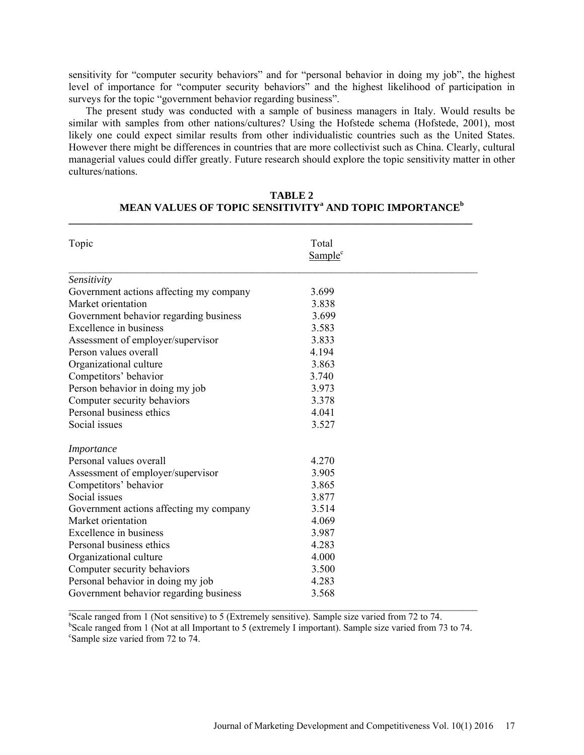sensitivity for "computer security behaviors" and for "personal behavior in doing my job", the highest level of importance for "computer security behaviors" and the highest likelihood of participation in surveys for the topic "government behavior regarding business".

The present study was conducted with a sample of business managers in Italy. Would results be similar with samples from other nations/cultures? Using the Hofstede schema (Hofstede, 2001), most likely one could expect similar results from other individualistic countries such as the United States. However there might be differences in countries that are more collectivist such as China. Clearly, cultural managerial values could differ greatly. Future research should explore the topic sensitivity matter in other cultures/nations.

| Topic                                   | Total<br>Sample <sup>c</sup> |  |
|-----------------------------------------|------------------------------|--|
| Sensitivity                             |                              |  |
| Government actions affecting my company | 3.699                        |  |
| Market orientation                      | 3.838                        |  |
| Government behavior regarding business  | 3.699                        |  |
| Excellence in business                  | 3.583                        |  |
| Assessment of employer/supervisor       | 3.833                        |  |
| Person values overall                   | 4.194                        |  |
| Organizational culture                  | 3.863                        |  |
| Competitors' behavior                   | 3.740                        |  |
| Person behavior in doing my job         | 3.973                        |  |
| Computer security behaviors             | 3.378                        |  |
| Personal business ethics                | 4.041                        |  |
| Social issues                           | 3.527                        |  |
| Importance                              |                              |  |
| Personal values overall                 | 4.270                        |  |
| Assessment of employer/supervisor       | 3.905                        |  |
| Competitors' behavior                   | 3.865                        |  |
| Social issues                           | 3.877                        |  |
| Government actions affecting my company | 3.514                        |  |
| Market orientation                      | 4.069                        |  |
| Excellence in business                  | 3.987                        |  |
| Personal business ethics                | 4.283                        |  |
| Organizational culture                  | 4.000                        |  |
| Computer security behaviors             | 3.500                        |  |
| Personal behavior in doing my job       | 4.283                        |  |
| Government behavior regarding business  | 3.568                        |  |

## **TABLE 2 MEAN VALUES OF TOPIC SENSITIVITY<sup>a</sup> AND TOPIC IMPORTANCE<sup>b</sup>**

**\_\_\_\_\_\_\_\_\_\_\_\_\_\_\_\_\_\_\_\_\_\_\_\_\_\_\_\_\_\_\_\_\_\_\_\_\_\_\_\_\_\_\_\_\_\_\_\_\_\_\_\_\_\_\_\_\_\_\_\_\_\_\_\_\_\_\_\_\_\_\_\_\_\_\_\_\_** 

<sup>a</sup>Scale ranged from 1 (Not sensitive) to 5 (Extremely sensitive). Sample size varied from 72 to 74.  $b^b$ Scale ranged from 1 (Not at all Important to 5 (extremely I important). Sample size varied from 73 to 74.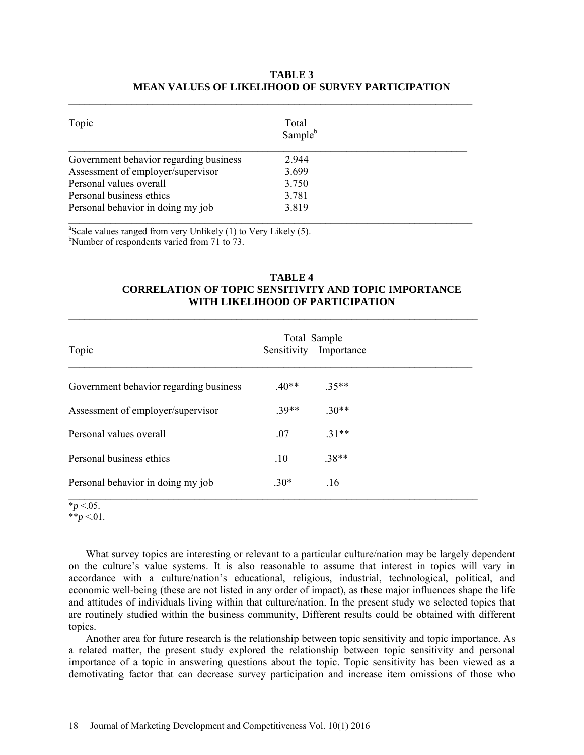## **TABLE 3 MEAN VALUES OF LIKELIHOOD OF SURVEY PARTICIPATION**

| Topic                                  | Total<br>Sample <sup>b</sup> |  |
|----------------------------------------|------------------------------|--|
| Government behavior regarding business | 2.944                        |  |
| Assessment of employer/supervisor      | 3.699                        |  |
| Personal values overall                | 3.750                        |  |
| Personal business ethics               | 3.781                        |  |
| Personal behavior in doing my job      | 3.819                        |  |

 $\mathcal{L}_\text{max}$  and  $\mathcal{L}_\text{max}$  and  $\mathcal{L}_\text{max}$  and  $\mathcal{L}_\text{max}$  and  $\mathcal{L}_\text{max}$  and  $\mathcal{L}_\text{max}$ 

<sup>a</sup>Scale values ranged from very Unlikely (1) to Very Likely (5). <sup>b</sup>Number of respondents varied from 71 to 73.

## **TABLE 4 CORRELATION OF TOPIC SENSITIVITY AND TOPIC IMPORTANCE WITH LIKELIHOOD OF PARTICIPATION**

| Topic                                  |         | Total Sample<br>Sensitivity Importance |
|----------------------------------------|---------|----------------------------------------|
| Government behavior regarding business | $.40**$ | $.35**$                                |
| Assessment of employer/supervisor      | $39**$  | $.30**$                                |
| Personal values overall                | .07     | $.31**$                                |
| Personal business ethics               | .10     | $.38**$                                |
| Personal behavior in doing my job      | $30*$   | .16                                    |

 $\mathcal{L}_\text{max}$  and  $\mathcal{L}_\text{max}$  and  $\mathcal{L}_\text{max}$  and  $\mathcal{L}_\text{max}$  and  $\mathcal{L}_\text{max}$  and  $\mathcal{L}_\text{max}$ 

## $*_{p}$  <.05.

 $*^*p < 01$ .

What survey topics are interesting or relevant to a particular culture/nation may be largely dependent on the culture's value systems. It is also reasonable to assume that interest in topics will vary in accordance with a culture/nation's educational, religious, industrial, technological, political, and economic well-being (these are not listed in any order of impact), as these major influences shape the life and attitudes of individuals living within that culture/nation. In the present study we selected topics that are routinely studied within the business community, Different results could be obtained with different topics.

Another area for future research is the relationship between topic sensitivity and topic importance. As a related matter, the present study explored the relationship between topic sensitivity and personal importance of a topic in answering questions about the topic. Topic sensitivity has been viewed as a demotivating factor that can decrease survey participation and increase item omissions of those who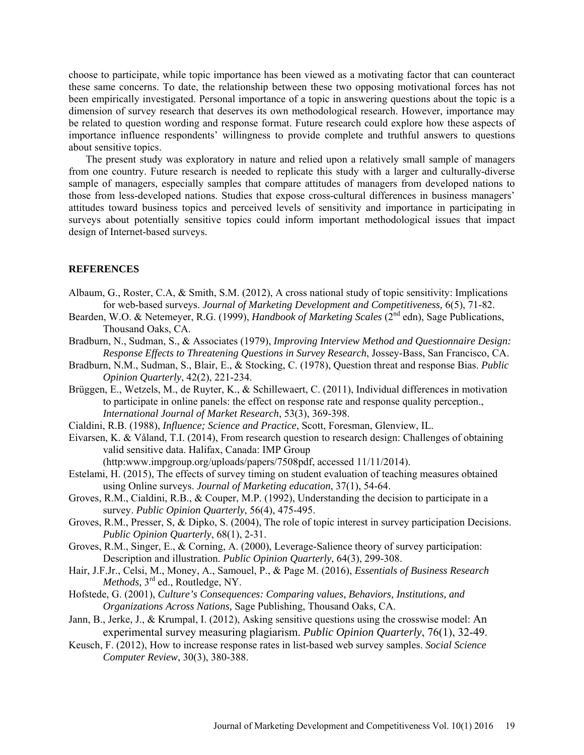choose to participate, while topic importance has been viewed as a motivating factor that can counteract these same concerns. To date, the relationship between these two opposing motivational forces has not been empirically investigated. Personal importance of a topic in answering questions about the topic is a dimension of survey research that deserves its own methodological research. However, importance may be related to question wording and response format. Future research could explore how these aspects of importance influence respondents' willingness to provide complete and truthful answers to questions about sensitive topics.

The present study was exploratory in nature and relied upon a relatively small sample of managers from one country. Future research is needed to replicate this study with a larger and culturally-diverse sample of managers, especially samples that compare attitudes of managers from developed nations to those from less-developed nations. Studies that expose cross-cultural differences in business managers' attitudes toward business topics and perceived levels of sensitivity and importance in participating in surveys about potentially sensitive topics could inform important methodological issues that impact design of Internet-based surveys.

#### **REFERENCES**

- Albaum, G., Roster, C.A, & Smith, S.M. (2012), A cross national study of topic sensitivity: Implications for web-based surveys. *Journal of Marketing Development and Competitiveness,* 6(5), 71-82.
- Bearden, W.O. & Netemeyer, R.G. (1999), *Handbook of Marketing Scales* (2<sup>nd</sup> edn), Sage Publications, Thousand Oaks, CA.
- Bradburn, N., Sudman, S., & Associates (1979), *Improving Interview Method and Questionnaire Design: Response Effects to Threatening Questions in Survey Research*, Jossey-Bass, San Francisco, CA.
- Bradburn, N.M., Sudman, S., Blair, E., & Stocking, C. (1978), Question threat and response Bias. *Public Opinion Quarterly*, 42(2), 221-234.
- Brüggen, E., Wetzels, M., de Ruyter, K., & Schillewaert, C. (2011), Individual differences in motivation to participate in online panels: the effect on response rate and response quality perception., *International Journal of Market Research*, 53(3), 369-398.
- Cialdini, R.B. (1988), *Influence; Science and Practice*, Scott, Foresman, Glenview, IL.
- Eivarsen, K. & Våland, T.I. (2014), From research question to research design: Challenges of obtaining valid sensitive data. Halifax, Canada: IMP Group (http:www.impgroup.org/uploads/papers/7508pdf, accessed 11/11/2014).
- Estelami, H. (2015), The effects of survey timing on student evaluation of teaching measures obtained using Online surveys. *Journal of Marketing education*, 37(1), 54-64.
- Groves, R.M., Cialdini, R.B., & Couper, M.P. (1992), Understanding the decision to participate in a survey. *Public Opinion Quarterly*, 56(4), 475-495.
- Groves, R.M., Presser, S, & Dipko, S. (2004), The role of topic interest in survey participation Decisions. *Public Opinion Quarterly*, 68(1), 2-31.
- Groves, R.M., Singer, E., & Corning, A. (2000), Leverage-Salience theory of survey participation: Description and illustration. *Public Opinion Quarterly*, 64(3), 299-308.
- Hair, J.F.Jr., Celsi, M., Money, A., Samouel, P., & Page M. (2016), *Essentials of Business Research Methods,* 3rd ed., Routledge, NY.
- Hofstede, G. (2001), *Culture's Consequences: Comparing values, Behaviors, Institutions, and Organizations Across Nations,* Sage Publishing, Thousand Oaks, CA.
- Jann, B., Jerke, J., & Krumpal, I. (2012), Asking sensitive questions using the crosswise model: An experimental survey measuring plagiarism. *Public Opinion Quarterly*, 76(1), 32-49.
- Keusch, F. (2012), How to increase response rates in list-based web survey samples. *Social Science Computer Review*, 30(3), 380-388.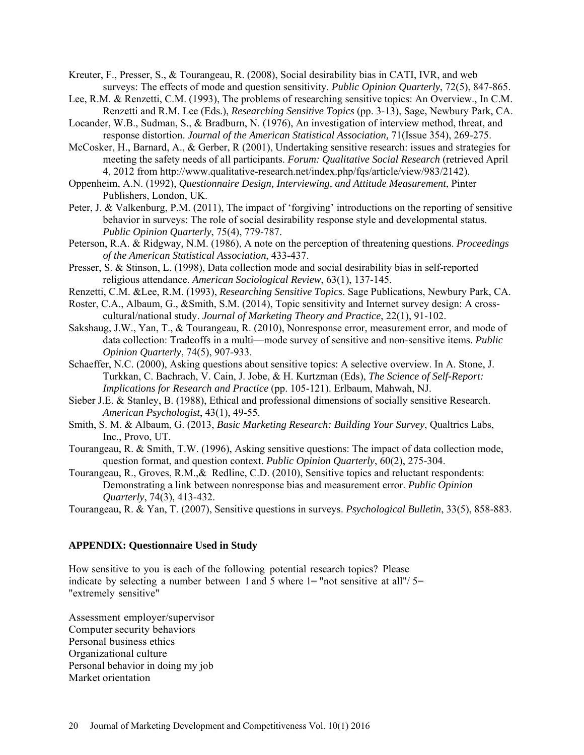Kreuter, F., Presser, S., & Tourangeau, R. (2008), Social desirability bias in CATI, IVR, and web surveys: The effects of mode and question sensitivity. *Public Opinion Quarterly*, 72(5), 847-865.

- Lee, R.M. & Renzetti, C.M. (1993), The problems of researching sensitive topics: An Overview., In C.M. Renzetti and R.M. Lee (Eds.), *Researching Sensitive Topics* (pp. 3-13), Sage, Newbury Park, CA.
- Locander, W.B., Sudman, S., & Bradburn, N. (1976), An investigation of interview method, threat, and response distortion. *Journal of the American Statistical Association,* 71(Issue 354), 269-275.
- McCosker, H., Barnard, A., & Gerber, R (2001), Undertaking sensitive research: issues and strategies for meeting the safety needs of all participants. *Forum: Qualitative Social Research* (retrieved April 4, 2012 from http://www.qualitative-research.net/index.php/fqs/article/view/983/2142).
- Oppenheim, A.N. (1992), *Questionnaire Design, Interviewing, and Attitude Measurement*, Pinter Publishers, London, UK.
- Peter, J. & Valkenburg, P.M. (2011), The impact of 'forgiving' introductions on the reporting of sensitive behavior in surveys: The role of social desirability response style and developmental status. *Public Opinion Quarterly*, 75(4), 779-787.
- Peterson, R.A. & Ridgway, N.M. (1986), A note on the perception of threatening questions. *Proceedings of the American Statistical Association*, 433-437.
- Presser, S. & Stinson, L. (1998), Data collection mode and social desirability bias in self-reported religious attendance. *American Sociological Review*, 63(1), 137-145.
- Renzetti, C.M. &Lee, R.M. (1993), *Researching Sensitive Topics*. Sage Publications, Newbury Park, CA.
- Roster, C.A., Albaum, G., &Smith, S.M. (2014), Topic sensitivity and Internet survey design: A crosscultural/national study. *Journal of Marketing Theory and Practice*, 22(1), 91-102.
- Sakshaug, J.W., Yan, T., & Tourangeau, R. (2010), Nonresponse error, measurement error, and mode of data collection: Tradeoffs in a multi—mode survey of sensitive and non-sensitive items. *Public Opinion Quarterly*, 74(5), 907-933.
- Schaeffer, N.C. (2000), Asking questions about sensitive topics: A selective overview. In A. Stone, J. Turkkan, C. Bachrach, V. Cain, J. Jobe, & H. Kurtzman (Eds), *The Science of Self-Report: Implications for Research and Practice* (pp. 105-121). Erlbaum, Mahwah, NJ.
- Sieber J.E. & Stanley, B. (1988), Ethical and professional dimensions of socially sensitive Research. *American Psychologist*, 43(1), 49-55.
- Smith, S. M. & Albaum, G. (2013, *Basic Marketing Research: Building Your Survey*, Qualtrics Labs, Inc., Provo, UT.
- Tourangeau, R. & Smith, T.W. (1996), Asking sensitive questions: The impact of data collection mode, question format, and question context. *Public Opinion Quarterly*, 60(2), 275-304.
- Tourangeau, R., Groves, R.M.,& Redline, C.D. (2010), Sensitive topics and reluctant respondents: Demonstrating a link between nonresponse bias and measurement error. *Public Opinion Quarterly*, 74(3), 413-432.

Tourangeau, R. & Yan, T. (2007), Sensitive questions in surveys. *Psychological Bulletin*, 33(5), 858-883.

## **APPENDIX: Questionnaire Used in Study**

How sensitive to you is each of the following potential research topics? Please indicate by selecting a number between 1 and 5 where  $1 =$  "not sensitive at all"/ $5 =$ "extremely sensitive"

Assessment employer/supervisor Computer security behaviors Personal business ethics Organizational culture Personal behavior in doing my job Market orientation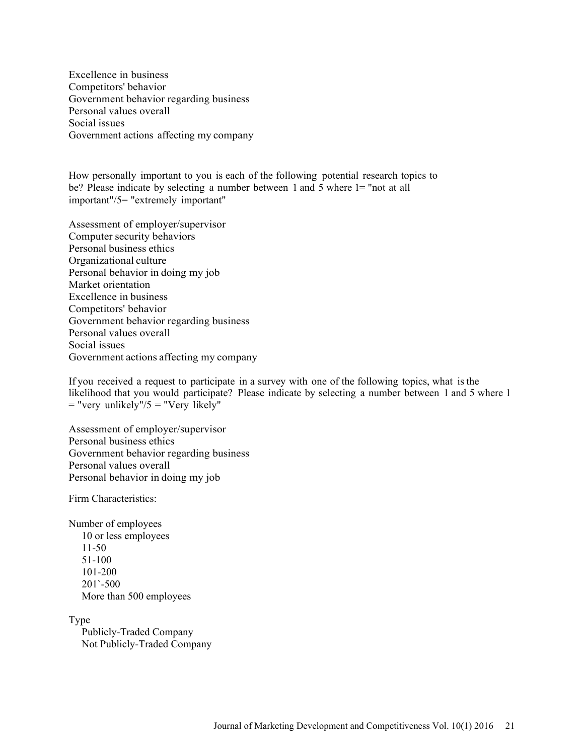Excellence in business Competitors' behavior Government behavior regarding business Personal values overall Social issues Government actions affecting my company

How personally important to you is each of the following potential research topics to be? Please indicate by selecting a number between 1 and 5 where 1= "not at all important"/5= "extremely important"

Assessment of employer/supervisor Computer security behaviors Personal business ethics Organizational culture Personal behavior in doing my job Market orientation Excellence in business Competitors' behavior Government behavior regarding business Personal values overall Social issues Government actions affecting my company

If you received a request to participate in a survey with one of the following topics, what is the likelihood that you would participate? Please indicate by selecting a number between 1 and 5 where 1  $=$  "very unlikely"/5  $=$  "Very likely"

Assessment of employer/supervisor Personal business ethics Government behavior regarding business Personal values overall Personal behavior in doing my job

Firm Characteristics:

Number of employees 10 or less employees 11-50 51-100 101-200 201`-500 More than 500 employees

Type

 Publicly-Traded Company Not Publicly-Traded Company